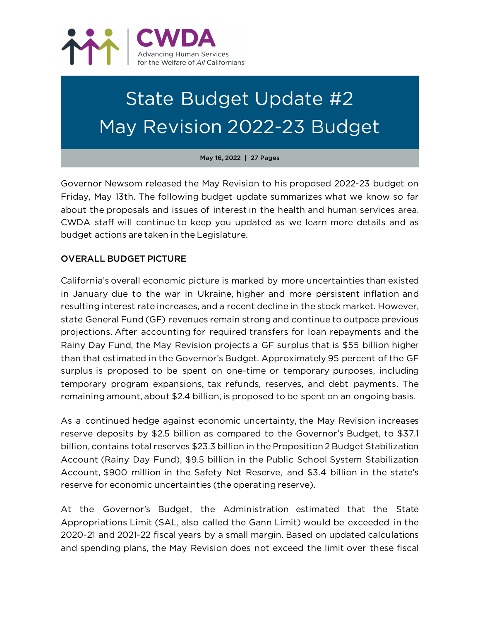

# State Budget Update #2 May Revision 2022-23 Budget

May 16, 2022 | 27 Pages

Governor Newsom released the May Revision to his proposed 2022-23 budget on Friday, May 13th. The following budget update summarizes what we know so far about the proposals and issues of interest in the health and human services area. CWDA staff will continue to keep you updated as we learn more details and as budget actions are taken in the Legislature.

# OVERALL BUDGET PICTURE

California's overall economic picture is marked by more uncertainties than existed in January due to the war in Ukraine, higher and more persistent inflation and resulting interest rate increases, and a recent decline in the stock market. However, state General Fund (GF) revenues remain strong and continue to outpace previous projections. After accounting for required transfers for loan repayments and the Rainy Day Fund, the May Revision projects a GF surplus that is \$55 billion higher than that estimated in the Governor's Budget. Approximately 95 percent of the GF surplus is proposed to be spent on one-time or temporary purposes, including temporary program expansions, tax refunds, reserves, and debt payments. The remaining amount, about \$2.4 billion, is proposed to be spent on an ongoing basis.

As a continued hedge against economic uncertainty, the May Revision increases reserve deposits by \$2.5 billion as compared to the Governor's Budget, to \$37.1 billion, contains total reserves \$23.3 billion in the Proposition 2 Budget Stabilization Account (Rainy Day Fund), \$9.5 billion in the Public School System Stabilization Account, \$900 million in the Safety Net Reserve, and \$3.4 billion in the state's reserve for economic uncertainties (the operating reserve).

At the Governor's Budget, the Administration estimated that the State Appropriations Limit (SAL, also called the Gann Limit) would be exceeded in the 2020-21 and 2021-22 fiscal years by a small margin. Based on updated calculations and spending plans, the May Revision does not exceed the limit over these fiscal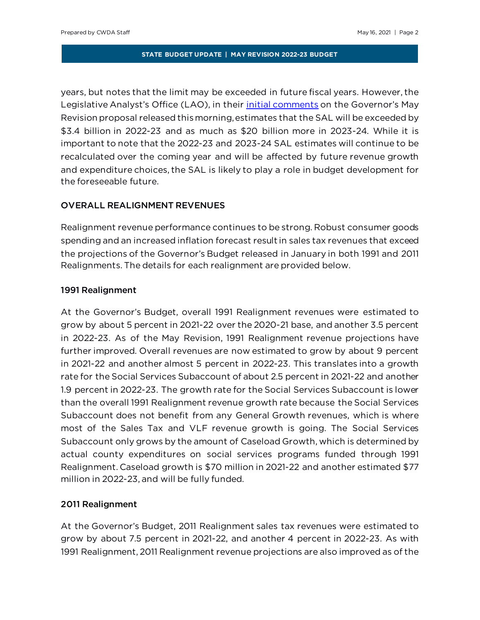years, but notes that the limit may be exceeded in future fiscal years. However, the Legislative Analyst's Office (LAO), in their *initial comments* on the Governor's May Revision proposal released this morning, estimates that the SAL will be exceeded by \$3.4 billion in 2022-23 and as much as \$20 billion more in 2023-24. While it is important to note that the 2022-23 and 2023-24 SAL estimates will continue to be recalculated over the coming year and will be affected by future revenue growth and expenditure choices, the SAL is likely to play a role in budget development for the foreseeable future.

# OVERALL REALIGNMENT REVENUES

Realignment revenue performance continues to be strong. Robust consumer goods spending and an increased inflation forecast result in sales tax revenues that exceed the projections of the Governor's Budget released in January in both 1991 and 2011 Realignments. The details for each realignment are provided below.

# 1991 Realignment

At the Governor's Budget, overall 1991 Realignment revenues were estimated to grow by about 5 percent in 2021-22 over the 2020-21 base, and another 3.5 percent in 2022-23. As of the May Revision, 1991 Realignment revenue projections have further improved. Overall revenues are now estimated to grow by about 9 percent in 2021-22 and another almost 5 percent in 2022-23. This translates into a growth rate for the Social Services Subaccount of about 2.5 percent in 2021-22 and another 1.9 percent in 2022-23. The growth rate for the Social Services Subaccount is lower than the overall 1991 Realignment revenue growth rate because the Social Services Subaccount does not benefit from any General Growth revenues, which is where most of the Sales Tax and VLF revenue growth is going. The Social Services Subaccount only grows by the amount of Caseload Growth, which is determined by actual county expenditures on social services programs funded through 1991 Realignment. Caseload growth is \$70 million in 2021-22 and another estimated \$77 million in 2022-23, and will be fully funded.

## 2011 Realignment

At the Governor's Budget, 2011 Realignment sales tax revenues were estimated to grow by about 7.5 percent in 2021-22, and another 4 percent in 2022-23. As with 1991 Realignment, 2011 Realignment revenue projections are also improved as of the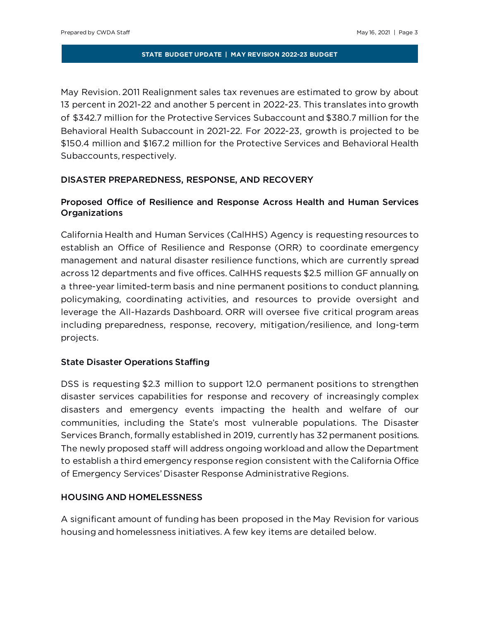May Revision. 2011 Realignment sales tax revenues are estimated to grow by about 13 percent in 2021-22 and another 5 percent in 2022-23. This translates into growth of \$342.7 million for the Protective Services Subaccount and \$380.7 million for the Behavioral Health Subaccount in 2021-22. For 2022-23, growth is projected to be \$150.4 million and \$167.2 million for the Protective Services and Behavioral Health Subaccounts, respectively.

# DISASTER PREPAREDNESS, RESPONSE, AND RECOVERY

# Proposed Office of Resilience and Response Across Health and Human Services Organizations

California Health and Human Services (CalHHS) Agency is requesting resources to establish an Office of Resilience and Response (ORR) to coordinate emergency management and natural disaster resilience functions, which are currently spread across 12 departments and five offices. CalHHS requests \$2.5 million GF annually on a three-year limited-term basis and nine permanent positions to conduct planning, policymaking, coordinating activities, and resources to provide oversight and leverage the All-Hazards Dashboard. ORR will oversee five critical program areas including preparedness, response, recovery, mitigation/resilience, and long-term projects.

# State Disaster Operations Staffing

DSS is requesting \$2.3 million to support 12.0 permanent positions to strengthen disaster services capabilities for response and recovery of increasingly complex disasters and emergency events impacting the health and welfare of our communities, including the State's most vulnerable populations. The Disaster Services Branch, formally established in 2019, currently has 32 permanent positions. The newly proposed staff will address ongoing workload and allow the Department to establish a third emergency response region consistent with the California Office of Emergency Services' Disaster Response Administrative Regions.

## HOUSING AND HOMELESSNESS

A significant amount of funding has been proposed in the May Revision for various housing and homelessness initiatives. A few key items are detailed below.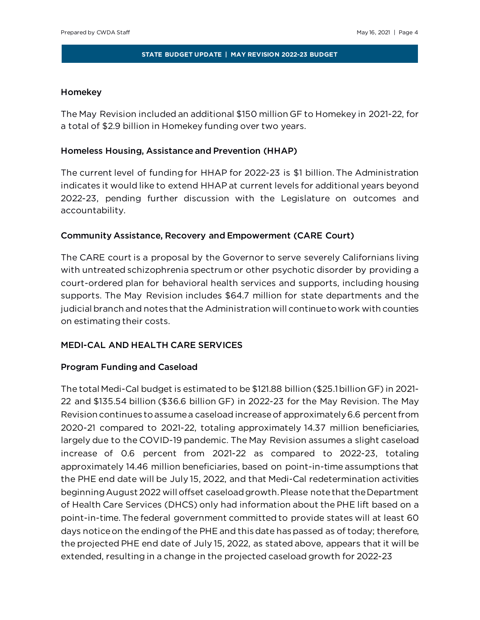# Homekey

The May Revision included an additional \$150 million GF to Homekey in 2021-22, for a total of \$2.9 billion in Homekey funding over two years.

# Homeless Housing, Assistance and Prevention (HHAP)

The current level of funding for HHAP for 2022-23 is \$1 billion. The Administration indicates it would like to extend HHAP at current levels for additional years beyond 2022-23, pending further discussion with the Legislature on outcomes and accountability.

# Community Assistance, Recovery and Empowerment (CARE Court)

The CARE court is a proposal by the Governor to serve severely Californians living with untreated schizophrenia spectrum or other psychotic disorder by providing a court-ordered plan for behavioral health services and supports, including housing supports. The May Revision includes \$64.7 million for state departments and the judicial branch and notes that the Administration will continueto work with counties on estimating their costs.

# MEDI-CAL AND HEALTH CARE SERVICES

## Program Funding and Caseload

The total Medi-Cal budget is estimated to be \$121.88 billion (\$25.1 billion GF) in 2021- 22 and \$135.54 billion (\$36.6 billion GF) in 2022-23 for the May Revision. The May Revision continues to assume a caseload increase of approximately 6.6 percent from 2020-21 compared to 2021-22, totaling approximately 14.37 million beneficiaries, largely due to the COVID-19 pandemic. The May Revision assumes a slight caseload increase of 0.6 percent from 2021-22 as compared to 2022-23, totaling approximately 14.46 million beneficiaries, based on point-in-time assumptions that the PHE end date will be July 15, 2022, and that Medi-Cal redetermination activities beginning August 2022 will offset caseload growth. Please note that the Department of Health Care Services (DHCS) only had information about the PHE lift based on a point-in-time. The federal government committed to provide states will at least 60 days notice on the ending of the PHE and this date has passed as of today; therefore, the projected PHE end date of July 15, 2022, as stated above, appears that it will be extended, resulting in a change in the projected caseload growth for 2022-23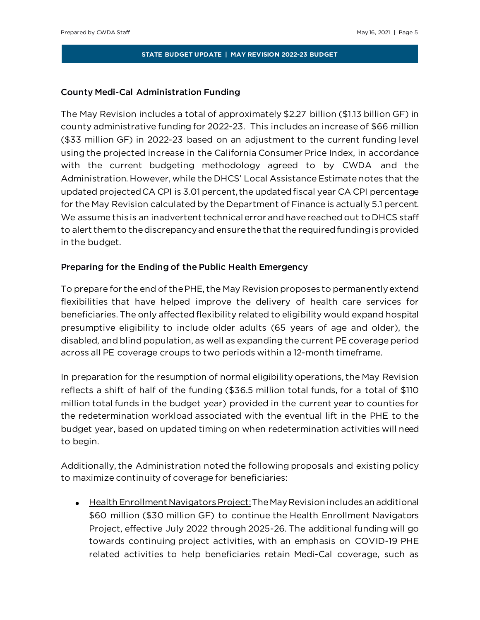## County Medi-Cal Administration Funding

The May Revision includes a total of approximately \$2.27 billion (\$1.13 billion GF) in county administrative funding for 2022-23. This includes an increase of \$66 million (\$33 million GF) in 2022-23 based on an adjustment to the current funding level using the projected increase in the California Consumer Price Index, in accordance with the current budgeting methodology agreed to by CWDA and the Administration. However, while the DHCS' Local Assistance Estimate notes that the updated projected CA CPI is 3.01 percent, the updated fiscal year CA CPI percentage for the May Revision calculated by the Department of Finance is actually 5.1 percent. We assume this is an inadvertent technical error and have reached out to DHCS staff to alert them to the discrepancy and ensure the that the required funding is provided in the budget.

# Preparing for the Ending of the Public Health Emergency

To prepare for the end of the PHE, the May Revision proposes to permanently extend flexibilities that have helped improve the delivery of health care services for beneficiaries. The only affected flexibility related to eligibility would expand hospital presumptive eligibility to include older adults (65 years of age and older), the disabled, and blind population, as well as expanding the current PE coverage period across all PE coverage croups to two periods within a 12-month timeframe.

In preparation for the resumption of normal eligibility operations, the May Revision reflects a shift of half of the funding (\$36.5 million total funds, for a total of \$110 million total funds in the budget year) provided in the current year to counties for the redetermination workload associated with the eventual lift in the PHE to the budget year, based on updated timing on when redetermination activities will need to begin.

Additionally, the Administration noted the following proposals and existing policy to maximize continuity of coverage for beneficiaries:

• Health Enrollment Navigators Project:The May Revision includes an additional \$60 million (\$30 million GF) to continue the Health Enrollment Navigators Project, effective July 2022 through 2025-26. The additional funding will go towards continuing project activities, with an emphasis on COVID-19 PHE related activities to help beneficiaries retain Medi-Cal coverage, such as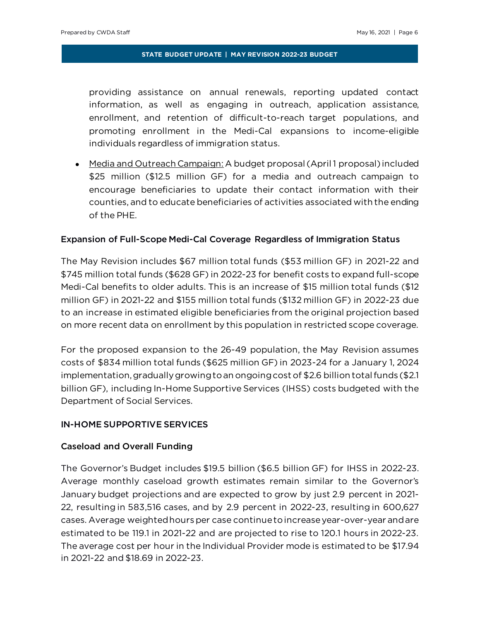providing assistance on annual renewals, reporting updated contact information, as well as engaging in outreach, application assistance, enrollment, and retention of difficult-to-reach target populations, and promoting enrollment in the Medi-Cal expansions to income-eligible individuals regardless of immigration status.

• Media and Outreach Campaign: A budget proposal (April 1 proposal) included \$25 million (\$12.5 million GF) for a media and outreach campaign to encourage beneficiaries to update their contact information with their counties, and to educate beneficiaries of activities associated with the ending of the PHE.

## Expansion of Full-Scope Medi-Cal Coverage Regardless of Immigration Status

The May Revision includes \$67 million total funds (\$53 million GF) in 2021-22 and \$745 million total funds (\$628 GF) in 2022-23 for benefit costs to expand full-scope Medi-Cal benefits to older adults. This is an increase of \$15 million total funds (\$12 million GF) in 2021-22 and \$155 million total funds (\$132 million GF) in 2022-23 due to an increase in estimated eligible beneficiaries from the original projection based on more recent data on enrollment by this population in restricted scope coverage.

For the proposed expansion to the 26-49 population, the May Revision assumes costs of \$834 million total funds (\$625 million GF) in 2023-24 for a January 1, 2024 implementation, gradually growing to an ongoing cost of \$2.6 billion total funds (\$2.1 billion GF), including In-Home Supportive Services (IHSS) costs budgeted with the Department of Social Services.

#### IN-HOME SUPPORTIVE SERVICES

#### Caseload and Overall Funding

The Governor's Budget includes \$19.5 billion (\$6.5 billion GF) for IHSS in 2022-23. Average monthly caseload growth estimates remain similar to the Governor's January budget projections and are expected to grow by just 2.9 percent in 2021- 22, resulting in 583,516 cases, and by 2.9 percent in 2022-23, resulting in 600,627 cases. Average weighted hours per case continue to increase year-over-year and are estimated to be 119.1 in 2021-22 and are projected to rise to 120.1 hours in 2022-23. The average cost per hour in the Individual Provider mode is estimated to be \$17.94 in 2021-22 and \$18.69 in 2022-23.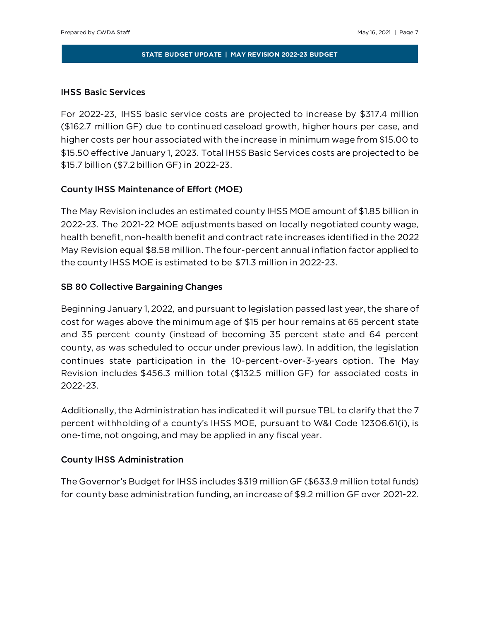## IHSS Basic Services

For 2022-23, IHSS basic service costs are projected to increase by \$317.4 million (\$162.7 million GF) due to continued caseload growth, higher hours per case, and higher costs per hour associated with the increase in minimum wage from \$15.00 to \$15.50 effective January 1, 2023. Total IHSS Basic Services costs are projected to be \$15.7 billion (\$7.2 billion GF) in 2022-23.

## County IHSS Maintenance of Effort (MOE)

The May Revision includes an estimated county IHSS MOE amount of \$1.85 billion in 2022-23. The 2021-22 MOE adjustments based on locally negotiated county wage, health benefit, non-health benefit and contract rate increases identified in the 2022 May Revision equal \$8.58 million. The four-percent annual inflation factor applied to the county IHSS MOE is estimated to be \$71.3 million in 2022-23.

## SB 80 Collective Bargaining Changes

Beginning January 1, 2022, and pursuant to legislation passed last year, the share of cost for wages above the minimum age of \$15 per hour remains at 65 percent state and 35 percent county (instead of becoming 35 percent state and 64 percent county, as was scheduled to occur under previous law). In addition, the legislation continues state participation in the 10-percent-over-3-years option. The May Revision includes \$456.3 million total (\$132.5 million GF) for associated costs in 2022-23.

Additionally, the Administration has indicated it will pursue TBL to clarify that the 7 percent withholding of a county's IHSS MOE, pursuant to W&I Code 12306.61(i), is one-time, not ongoing, and may be applied in any fiscal year.

## County IHSS Administration

The Governor's Budget for IHSS includes \$319 million GF (\$633.9 million total funds) for county base administration funding, an increase of \$9.2 million GF over 2021-22.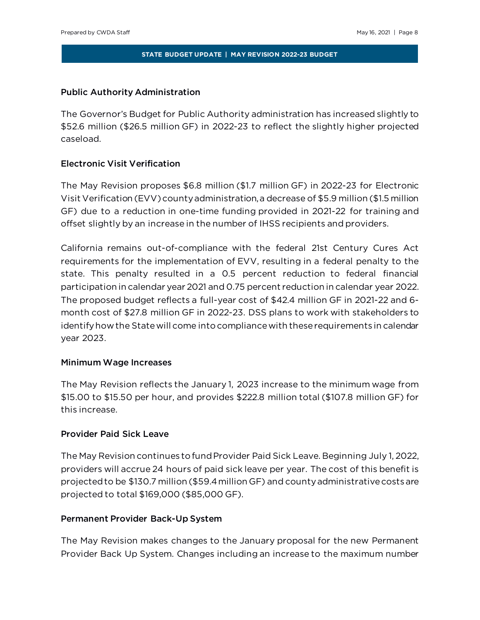# Public Authority Administration

The Governor's Budget for Public Authority administration has increased slightly to \$52.6 million (\$26.5 million GF) in 2022-23 to reflect the slightly higher projected caseload.

# Electronic Visit Verification

The May Revision proposes \$6.8 million (\$1.7 million GF) in 2022-23 for Electronic Visit Verification (EVV) county administration, a decrease of \$5.9 million (\$1.5 million GF) due to a reduction in one-time funding provided in 2021-22 for training and offset slightly by an increase in the number of IHSS recipients and providers.

California remains out-of-compliance with the federal 21st Century Cures Act requirements for the implementation of EVV, resulting in a federal penalty to the state. This penalty resulted in a 0.5 percent reduction to federal financial participation in calendar year 2021 and 0.75 percent reduction in calendar year 2022. The proposed budget reflects a full-year cost of \$42.4 million GF in 2021-22 and 6 month cost of \$27.8 million GF in 2022-23. DSS plans to work with stakeholders to identify how the State will come into compliance with these requirements in calendar year 2023.

## Minimum Wage Increases

The May Revision reflects the January 1, 2023 increase to the minimum wage from \$15.00 to \$15.50 per hour, and provides \$222.8 million total (\$107.8 million GF) for this increase.

## Provider Paid Sick Leave

The May Revision continues to fund Provider Paid Sick Leave. Beginning July 1, 2022, providers will accrue 24 hours of paid sick leave per year. The cost of this benefit is projected to be \$130.7 million (\$59.4 million GF) and county administrative costs are projected to total \$169,000 (\$85,000 GF).

## Permanent Provider Back-Up System

The May Revision makes changes to the January proposal for the new Permanent Provider Back Up System. Changes including an increase to the maximum number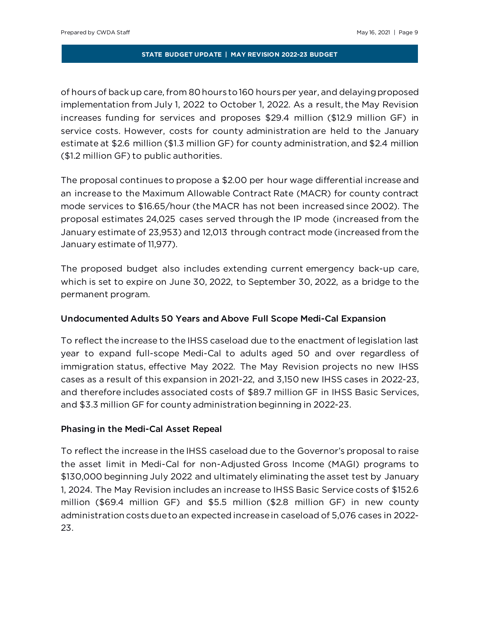of hours of back up care, from 80 hours to 160 hours per year, and delaying proposed implementation from July 1, 2022 to October 1, 2022. As a result, the May Revision increases funding for services and proposes \$29.4 million (\$12.9 million GF) in service costs. However, costs for county administration are held to the January estimate at \$2.6 million (\$1.3 million GF) for county administration, and \$2.4 million (\$1.2 million GF) to public authorities.

The proposal continues to propose a \$2.00 per hour wage differential increase and an increase to the Maximum Allowable Contract Rate (MACR) for county contract mode services to \$16.65/hour (the MACR has not been increased since 2002). The proposal estimates 24,025 cases served through the IP mode (increased from the January estimate of 23,953) and 12,013 through contract mode (increased from the January estimate of 11,977).

The proposed budget also includes extending current emergency back-up care, which is set to expire on June 30, 2022, to September 30, 2022, as a bridge to the permanent program.

## Undocumented Adults 50 Years and Above Full Scope Medi-Cal Expansion

To reflect the increase to the IHSS caseload due to the enactment of legislation last year to expand full-scope Medi-Cal to adults aged 50 and over regardless of immigration status, effective May 2022. The May Revision projects no new IHSS cases as a result of this expansion in 2021-22, and 3,150 new IHSS cases in 2022-23, and therefore includes associated costs of \$89.7 million GF in IHSS Basic Services, and \$3.3 million GF for county administration beginning in 2022-23.

# Phasing in the Medi-Cal Asset Repeal

To reflect the increase in the IHSS caseload due to the Governor's proposal to raise the asset limit in Medi-Cal for non-Adjusted Gross Income (MAGI) programs to \$130,000 beginning July 2022 and ultimately eliminating the asset test by January 1, 2024. The May Revision includes an increase to IHSS Basic Service costs of \$152.6 million (\$69.4 million GF) and \$5.5 million (\$2.8 million GF) in new county administration costs due to an expected increase in caseload of 5,076 cases in 2022- 23.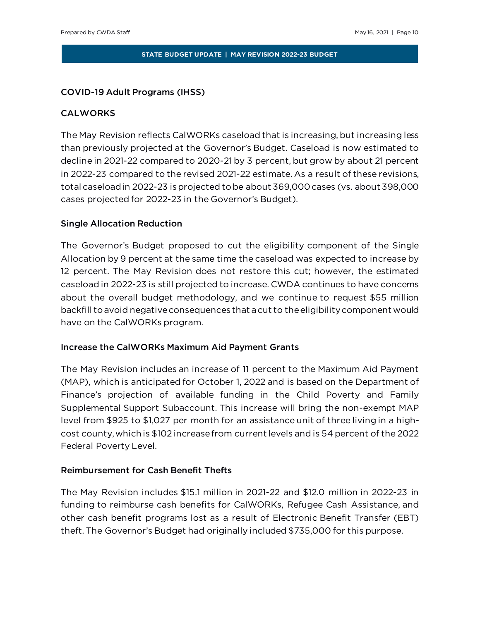## COVID-19 Adult Programs (IHSS)

## CALWORKS

The May Revision reflects CalWORKs caseload that is increasing, but increasing less than previously projected at the Governor's Budget. Caseload is now estimated to decline in 2021-22 compared to 2020-21 by 3 percent, but grow by about 21 percent in 2022-23 compared to the revised 2021-22 estimate. As a result of these revisions, total caseload in 2022-23 is projected to be about 369,000cases (vs. about 398,000 cases projected for 2022-23 in the Governor's Budget).

## Single Allocation Reduction

The Governor's Budget proposed to cut the eligibility component of the Single Allocation by 9 percent at the same time the caseload was expected to increase by 12 percent. The May Revision does not restore this cut; however, the estimated caseload in 2022-23 is still projected to increase. CWDA continues to have concerns about the overall budget methodology, and we continue to request \$55 million backfill to avoid negative consequences that a cut to the eligibility component would have on the CalWORKs program.

## Increase the CalWORKs Maximum Aid Payment Grants

The May Revision includes an increase of 11 percent to the Maximum Aid Payment (MAP), which is anticipated for October 1, 2022 and is based on the Department of Finance's projection of available funding in the Child Poverty and Family Supplemental Support Subaccount. This increase will bring the non-exempt MAP level from \$925 to \$1,027 per month for an assistance unit of three living in a highcost county, which is \$102 increase from current levels and is 54 percent of the 2022 Federal Poverty Level.

## Reimbursement for Cash Benefit Thefts

The May Revision includes \$15.1 million in 2021-22 and \$12.0 million in 2022-23 in funding to reimburse cash benefits for CalWORKs, Refugee Cash Assistance, and other cash benefit programs lost as a result of Electronic Benefit Transfer (EBT) theft. The Governor's Budget had originally included \$735,000 for this purpose.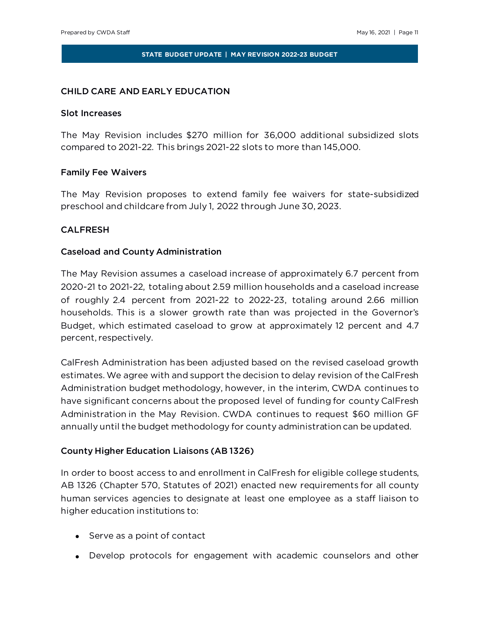#### CHILD CARE AND EARLY EDUCATION

#### Slot Increases

The May Revision includes \$270 million for 36,000 additional subsidized slots compared to 2021-22. This brings 2021-22 slots to more than 145,000.

## Family Fee Waivers

The May Revision proposes to extend family fee waivers for state-subsidized preschool and childcare from July 1, 2022 through June 30, 2023.

## CALFRESH

#### Caseload and County Administration

The May Revision assumes a caseload increase of approximately 6.7 percent from 2020-21 to 2021-22, totaling about 2.59 million households and a caseload increase of roughly 2.4 percent from 2021-22 to 2022-23, totaling around 2.66 million households. This is a slower growth rate than was projected in the Governor's Budget, which estimated caseload to grow at approximately 12 percent and 4.7 percent, respectively.

CalFresh Administration has been adjusted based on the revised caseload growth estimates. We agree with and support the decision to delay revision of the CalFresh Administration budget methodology, however, in the interim, CWDA continues to have significant concerns about the proposed level of funding for county CalFresh Administration in the May Revision. CWDA continues to request \$60 million GF annually until the budget methodology for county administration can be updated.

#### County Higher Education Liaisons (AB 1326)

In order to boost access to and enrollment in CalFresh for eligible college students, AB 1326 (Chapter 570, Statutes of 2021) enacted new requirements for all county human services agencies to designate at least one employee as a staff liaison to higher education institutions to:

- Serve as a point of contact
- Develop protocols for engagement with academic counselors and other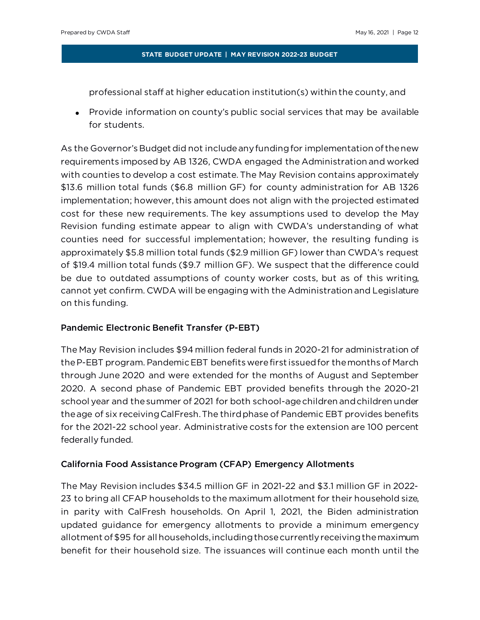professional staff at higher education institution(s) within the county, and

• Provide information on county's public social services that may be available for students.

As the Governor's Budget did not include any funding for implementation of the new requirements imposed by AB 1326, CWDA engaged the Administration and worked with counties to develop a cost estimate. The May Revision contains approximately \$13.6 million total funds (\$6.8 million GF) for county administration for AB 1326 implementation; however, this amount does not align with the projected estimated cost for these new requirements. The key assumptions used to develop the May Revision funding estimate appear to align with CWDA's understanding of what counties need for successful implementation; however, the resulting funding is approximately \$5.8 million total funds (\$2.9 million GF) lower than CWDA's request of \$19.4 million total funds (\$9.7 million GF). We suspect that the difference could be due to outdated assumptions of county worker costs, but as of this writing, cannot yet confirm. CWDA will be engaging with the Administration and Legislature on this funding.

# Pandemic Electronic Benefit Transfer (P-EBT)

The May Revision includes \$94 million federal funds in 2020-21 for administration of the P-EBT program. Pandemic EBT benefits were first issued for the months of March through June 2020 and were extended for the months of August and September 2020. A second phase of Pandemic EBT provided benefits through the 2020-21 school year and the summer of 2021 for both school-age children and children under the age of six receiving CalFresh. The third phase of Pandemic EBT provides benefits for the 2021-22 school year. Administrative costs for the extension are 100 percent federally funded.

# California Food Assistance Program (CFAP) Emergency Allotments

The May Revision includes \$34.5 million GF in 2021-22 and \$3.1 million GF in 2022- 23 to bring all CFAP households to the maximum allotment for their household size, in parity with CalFresh households. On April 1, 2021, the Biden administration updated guidance for emergency allotments to provide a minimum emergency allotment of \$95 for all households, including those currently receiving the maximum benefit for their household size. The issuances will continue each month until the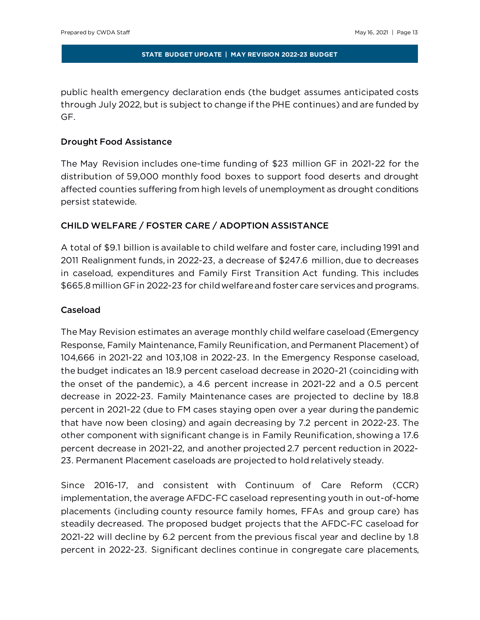public health emergency declaration ends (the budget assumes anticipated costs through July 2022, but is subject to change if the PHE continues) and are funded by GF.

## Drought Food Assistance

The May Revision includes one-time funding of \$23 million GF in 2021-22 for the distribution of 59,000 monthly food boxes to support food deserts and drought affected counties suffering from high levels of unemployment as drought conditions persist statewide.

# CHILD WELFARE / FOSTER CARE / ADOPTION ASSISTANCE

A total of \$9.1 billion is available to child welfare and foster care, including 1991 and 2011 Realignment funds, in 2022-23, a decrease of \$247.6 million, due to decreases in caseload, expenditures and Family First Transition Act funding. This includes \$665.8 million GF in 2022-23 for child welfare and foster care services and programs.

# Caseload

The May Revision estimates an average monthly child welfare caseload (Emergency Response, Family Maintenance, Family Reunification, and Permanent Placement) of 104,666 in 2021-22 and 103,108 in 2022-23. In the Emergency Response caseload, the budget indicates an 18.9 percent caseload decrease in 2020-21 (coinciding with the onset of the pandemic), a 4.6 percent increase in 2021-22 and a 0.5 percent decrease in 2022-23. Family Maintenance cases are projected to decline by 18.8 percent in 2021-22 (due to FM cases staying open over a year during the pandemic that have now been closing) and again decreasing by 7.2 percent in 2022-23. The other component with significant change is in Family Reunification, showing a 17.6 percent decrease in 2021-22, and another projected 2.7 percent reduction in 2022- 23. Permanent Placement caseloads are projected to hold relatively steady.

Since 2016-17, and consistent with Continuum of Care Reform (CCR) implementation, the average AFDC-FC caseload representing youth in out-of-home placements (including county resource family homes, FFAs and group care) has steadily decreased. The proposed budget projects that the AFDC-FC caseload for 2021-22 will decline by 6.2 percent from the previous fiscal year and decline by 1.8 percent in 2022-23. Significant declines continue in congregate care placements,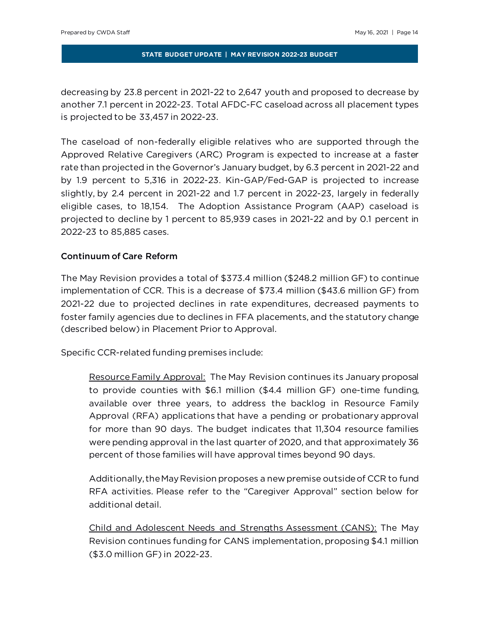decreasing by 23.8 percent in 2021-22 to 2,647 youth and proposed to decrease by another 7.1 percent in 2022-23. Total AFDC-FC caseload across all placement types is projected to be 33,457 in 2022-23.

The caseload of non-federally eligible relatives who are supported through the Approved Relative Caregivers (ARC) Program is expected to increase at a faster rate than projected in the Governor's January budget, by 6.3 percent in 2021-22 and by 1.9 percent to 5,316 in 2022-23. Kin-GAP/Fed-GAP is projected to increase slightly, by 2.4 percent in 2021-22 and 1.7 percent in 2022-23, largely in federally eligible cases, to 18,154. The Adoption Assistance Program (AAP) caseload is projected to decline by 1 percent to 85,939 cases in 2021-22 and by 0.1 percent in 2022-23 to 85,885 cases.

# Continuum of Care Reform

The May Revision provides a total of \$373.4 million (\$248.2 million GF) to continue implementation of CCR. This is a decrease of \$73.4 million (\$43.6 million GF) from 2021-22 due to projected declines in rate expenditures, decreased payments to foster family agencies due to declines in FFA placements, and the statutory change (described below) in Placement Prior to Approval.

Specific CCR-related funding premises include:

Resource Family Approval: The May Revision continues its January proposal to provide counties with \$6.1 million (\$4.4 million GF) one-time funding, available over three years, to address the backlog in Resource Family Approval (RFA) applications that have a pending or probationary approval for more than 90 days. The budget indicates that 11,304 resource families were pending approval in the last quarter of 2020, and that approximately 36 percent of those families will have approval times beyond 90 days.

Additionally, the May Revision proposes a new premise outside of CCR to fund RFA activities. Please refer to the "Caregiver Approval" section below for additional detail.

Child and Adolescent Needs and Strengths Assessment (CANS): The May Revision continues funding for CANS implementation, proposing \$4.1 million (\$3.0 million GF) in 2022-23.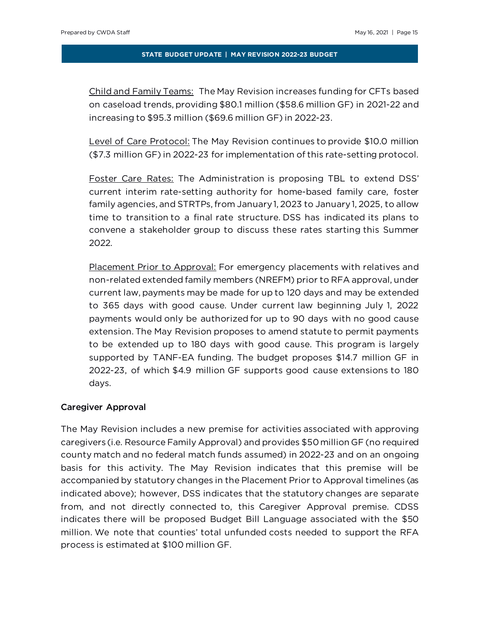Child and Family Teams: The May Revision increases funding for CFTs based on caseload trends, providing \$80.1 million (\$58.6 million GF) in 2021-22 and increasing to \$95.3 million (\$69.6 million GF) in 2022-23.

Level of Care Protocol: The May Revision continues to provide \$10.0 million (\$7.3 million GF) in 2022-23 for implementation of this rate-setting protocol.

Foster Care Rates: The Administration is proposing TBL to extend DSS' current interim rate-setting authority for home-based family care, foster family agencies, and STRTPs, from January 1, 2023 to January 1, 2025, to allow time to transition to a final rate structure. DSS has indicated its plans to convene a stakeholder group to discuss these rates starting this Summer 2022.

Placement Prior to Approval: For emergency placements with relatives and non-related extended family members (NREFM) prior to RFA approval, under current law, payments may be made for up to 120 days and may be extended to 365 days with good cause. Under current law beginning July 1, 2022 payments would only be authorized for up to 90 days with no good cause extension. The May Revision proposes to amend statute to permit payments to be extended up to 180 days with good cause. This program is largely supported by TANF-EA funding. The budget proposes \$14.7 million GF in 2022-23, of which \$4.9 million GF supports good cause extensions to 180 days.

#### Caregiver Approval

The May Revision includes a new premise for activities associated with approving caregivers (i.e. Resource Family Approval) and provides \$50 million GF (no required county match and no federal match funds assumed) in 2022-23 and on an ongoing basis for this activity. The May Revision indicates that this premise will be accompanied by statutory changes in the Placement Prior to Approval timelines (as indicated above); however, DSS indicates that the statutory changes are separate from, and not directly connected to, this Caregiver Approval premise. CDSS indicates there will be proposed Budget Bill Language associated with the \$50 million. We note that counties' total unfunded costs needed to support the RFA process is estimated at \$100 million GF.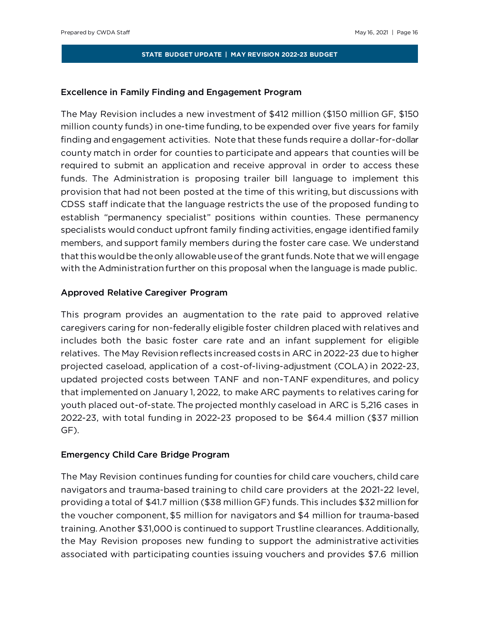## Excellence in Family Finding and Engagement Program

The May Revision includes a new investment of \$412 million (\$150 million GF, \$150 million county funds) in one-time funding, to be expended over five years for family finding and engagement activities. Note that these funds require a dollar-for-dollar county match in order for counties to participate and appears that counties will be required to submit an application and receive approval in order to access these funds. The Administration is proposing trailer bill language to implement this provision that had not been posted at the time of this writing, but discussions with CDSS staff indicate that the language restricts the use of the proposed funding to establish "permanency specialist" positions within counties. These permanency specialists would conduct upfront family finding activities, engage identified family members, and support family members during the foster care case. We understand that this would be the only allowable use of the grant funds. Note that we will engage with the Administration further on this proposal when the language is made public.

## Approved Relative Caregiver Program

This program provides an augmentation to the rate paid to approved relative caregivers caring for non-federally eligible foster children placed with relatives and includes both the basic foster care rate and an infant supplement for eligible relatives. The May Revision reflects increased costs in ARC in 2022-23 due to higher projected caseload, application of a cost-of-living-adjustment (COLA) in 2022-23, updated projected costs between TANF and non-TANF expenditures, and policy that implemented on January 1, 2022, to make ARC payments to relatives caring for youth placed out-of-state. The projected monthly caseload in ARC is 5,216 cases in 2022-23, with total funding in 2022-23 proposed to be \$64.4 million (\$37 million GF).

#### Emergency Child Care Bridge Program

The May Revision continues funding for counties for child care vouchers, child care navigators and trauma-based training to child care providers at the 2021-22 level, providing a total of \$41.7 million (\$38 million GF) funds. This includes \$32 million for the voucher component, \$5 million for navigators and \$4 million for trauma-based training. Another \$31,000 is continued to support Trustline clearances. Additionally, the May Revision proposes new funding to support the administrative activities associated with participating counties issuing vouchers and provides \$7.6 million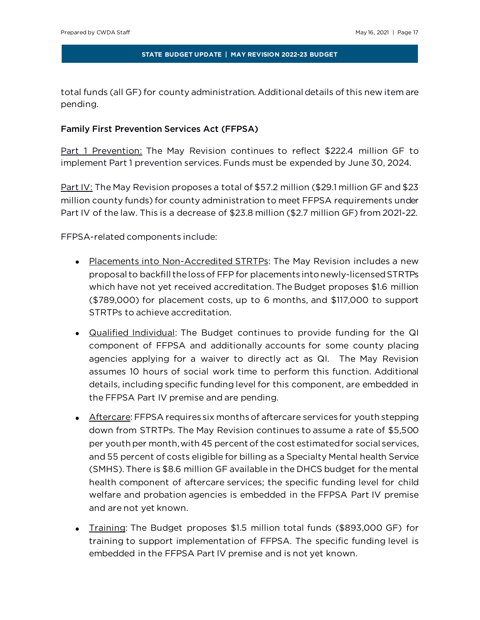total funds (all GF) for county administration. Additional details of this new item are pending.

# Family First Prevention Services Act (FFPSA)

Part 1 Prevention: The May Revision continues to reflect \$222.4 million GF to implement Part 1 prevention services. Funds must be expended by June 30, 2024.

Part IV: The May Revision proposes a total of \$57.2 million (\$29.1 million GF and \$23 million county funds) for county administration to meet FFPSA requirements under Part IV of the law. This is a decrease of \$23.8 million (\$2.7 million GF) from 2021-22.

FFPSA-related components include:

- Placements into Non-Accredited STRTPs: The May Revision includes a new proposal to backfill the loss of FFP for placements into newly-licensed STRTPs which have not yet received accreditation. The Budget proposes \$1.6 million (\$789,000) for placement costs, up to 6 months, and \$117,000 to support STRTPs to achieve accreditation.
- Qualified Individual: The Budget continues to provide funding for the QI component of FFPSA and additionally accounts for some county placing agencies applying for a waiver to directly act as QI. The May Revision assumes 10 hours of social work time to perform this function. Additional details, including specific funding level for this component, are embedded in the FFPSA Part IV premise and are pending.
- Aftercare: FFPSA requires six months of aftercare services for youth stepping down from STRTPs. The May Revision continues to assume a rate of \$5,500 per youth per month, with 45 percent of the cost estimated for social services, and 55 percent of costs eligible for billing as a Specialty Mental health Service (SMHS). There is \$8.6 million GF available in the DHCS budget for the mental health component of aftercare services; the specific funding level for child welfare and probation agencies is embedded in the FFPSA Part IV premise and are not yet known.
- Training: The Budget proposes \$1.5 million total funds (\$893,000 GF) for training to support implementation of FFPSA. The specific funding level is embedded in the FFPSA Part IV premise and is not yet known.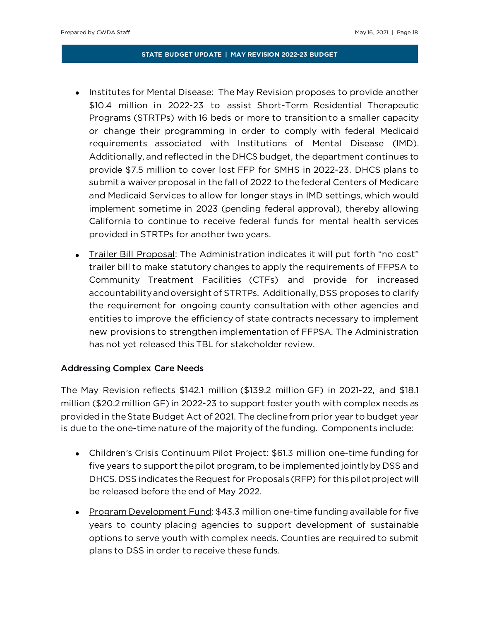- Institutes for Mental Disease: The May Revision proposes to provide another \$10.4 million in 2022-23 to assist Short-Term Residential Therapeutic Programs (STRTPs) with 16 beds or more to transition to a smaller capacity or change their programming in order to comply with federal Medicaid requirements associated with Institutions of Mental Disease (IMD). Additionally, and reflected in the DHCS budget, the department continues to provide \$7.5 million to cover lost FFP for SMHS in 2022-23. DHCS plans to submit a waiver proposal in the fall of 2022 to the federal Centers of Medicare and Medicaid Services to allow for longer stays in IMD settings, which would implement sometime in 2023 (pending federal approval), thereby allowing California to continue to receive federal funds for mental health services provided in STRTPs for another two years.
- Trailer Bill Proposal: The Administration indicates it will put forth "no cost" trailer bill to make statutory changes to apply the requirements of FFPSA to Community Treatment Facilities (CTFs) and provide for increased accountability and oversight of STRTPs. Additionally, DSS proposes to clarify the requirement for ongoing county consultation with other agencies and entities to improve the efficiency of state contracts necessary to implement new provisions to strengthen implementation of FFPSA. The Administration has not yet released this TBL for stakeholder review.

# Addressing Complex Care Needs

The May Revision reflects \$142.1 million (\$139.2 million GF) in 2021-22, and \$18.1 million (\$20.2 million GF) in 2022-23 to support foster youth with complex needs as provided in the State Budget Act of 2021. The decline from prior year to budget year is due to the one-time nature of the majority of the funding. Components include:

- Children's Crisis Continuum Pilot Project: \$61.3 million one-time funding for five years to support the pilot program, to be implemented jointly by DSS and DHCS. DSS indicates the Request for Proposals (RFP) for this pilot project will be released before the end of May 2022.
- Program Development Fund: \$43.3 million one-time funding available for five years to county placing agencies to support development of sustainable options to serve youth with complex needs. Counties are required to submit plans to DSS in order to receive these funds.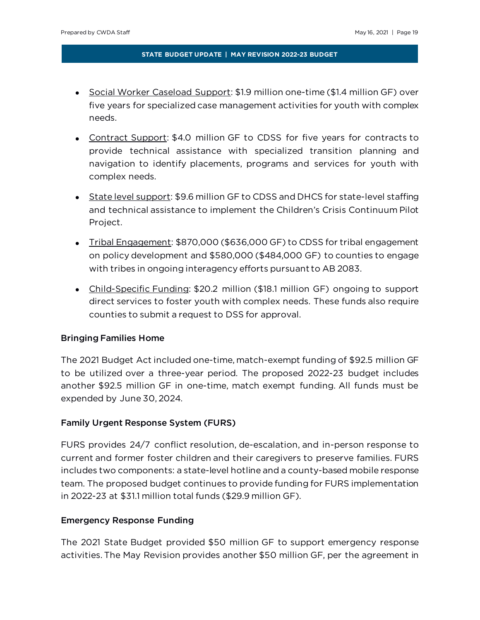- Social Worker Caseload Support: \$1.9 million one-time (\$1.4 million GF) over five years for specialized case management activities for youth with complex needs.
- Contract Support: \$4.0 million GF to CDSS for five years for contracts to provide technical assistance with specialized transition planning and navigation to identify placements, programs and services for youth with complex needs.
- State level support: \$9.6 million GF to CDSS and DHCS for state-level staffing and technical assistance to implement the Children's Crisis Continuum Pilot Project.
- Tribal Engagement: \$870,000 (\$636,000 GF) to CDSS for tribal engagement on policy development and \$580,000 (\$484,000 GF) to counties to engage with tribes in ongoing interagency efforts pursuant to AB 2083.
- Child-Specific Funding: \$20.2 million (\$18.1 million GF) ongoing to support direct services to foster youth with complex needs. These funds also require counties to submit a request to DSS for approval.

## Bringing Families Home

The 2021 Budget Act included one-time, match-exempt funding of \$92.5 million GF to be utilized over a three-year period. The proposed 2022-23 budget includes another \$92.5 million GF in one-time, match exempt funding. All funds must be expended by June 30, 2024.

# Family Urgent Response System (FURS)

FURS provides 24/7 conflict resolution, de-escalation, and in-person response to current and former foster children and their caregivers to preserve families. FURS includes two components: a state-level hotline and a county-based mobile response team. The proposed budget continues to provide funding for FURS implementation in 2022-23 at \$31.1 million total funds (\$29.9 million GF).

## Emergency Response Funding

The 2021 State Budget provided \$50 million GF to support emergency response activities. The May Revision provides another \$50 million GF, per the agreement in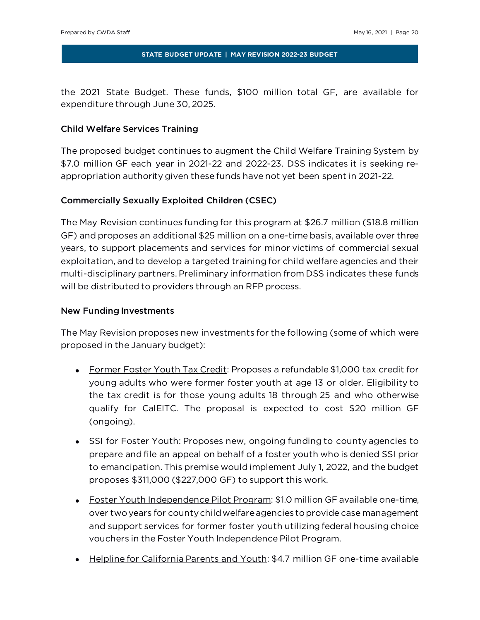the 2021 State Budget. These funds, \$100 million total GF, are available for expenditure through June 30, 2025.

# Child Welfare Services Training

The proposed budget continues to augment the Child Welfare Training System by \$7.0 million GF each year in 2021-22 and 2022-23. DSS indicates it is seeking reappropriation authority given these funds have not yet been spent in 2021-22.

# Commercially Sexually Exploited Children (CSEC)

The May Revision continues funding for this program at \$26.7 million (\$18.8 million GF) and proposes an additional \$25 million on a one-time basis, available over three years, to support placements and services for minor victims of commercial sexual exploitation, and to develop a targeted training for child welfare agencies and their multi-disciplinary partners. Preliminary information from DSS indicates these funds will be distributed to providers through an RFP process.

## New Funding Investments

The May Revision proposes new investments for the following (some of which were proposed in the January budget):

- Former Foster Youth Tax Credit: Proposes a refundable \$1,000 tax credit for young adults who were former foster youth at age 13 or older. Eligibility to the tax credit is for those young adults 18 through 25 and who otherwise qualify for CalEITC. The proposal is expected to cost \$20 million GF (ongoing).
- SSI for Foster Youth: Proposes new, ongoing funding to county agencies to prepare and file an appeal on behalf of a foster youth who is denied SSI prior to emancipation. This premise would implement July 1, 2022, and the budget proposes \$311,000 (\$227,000 GF) to support this work.
- Foster Youth Independence Pilot Program: \$1.0 million GF available one-time, over two years for county child welfare agencies to provide case management and support services for former foster youth utilizing federal housing choice vouchers in the Foster Youth Independence Pilot Program.
- Helpline for California Parents and Youth: \$4.7 million GF one-time available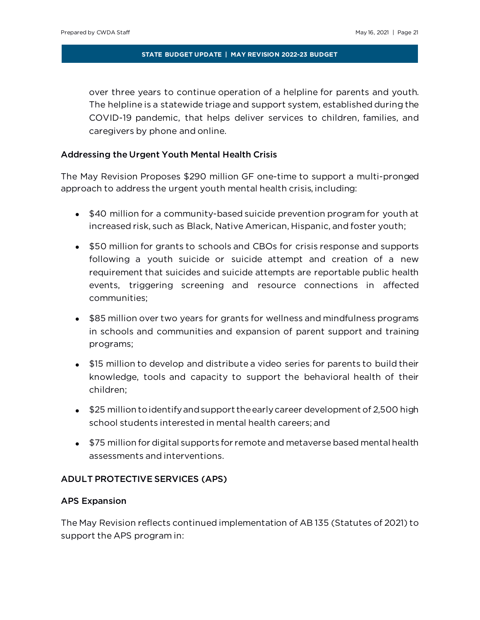over three years to continue operation of a helpline for parents and youth. The helpline is a statewide triage and support system, established during the COVID-19 pandemic, that helps deliver services to children, families, and caregivers by phone and online.

## Addressing the Urgent Youth Mental Health Crisis

The May Revision Proposes \$290 million GF one-time to support a multi-pronged approach to address the urgent youth mental health crisis, including:

- \$40 million for a community-based suicide prevention program for youth at increased risk, such as Black, Native American, Hispanic, and foster youth;
- \$50 million for grants to schools and CBOs for crisis response and supports following a youth suicide or suicide attempt and creation of a new requirement that suicides and suicide attempts are reportable public health events, triggering screening and resource connections in affected communities;
- \$85 million over two years for grants for wellness and mindfulness programs in schools and communities and expansion of parent support and training programs;
- \$15 million to develop and distribute a video series for parents to build their knowledge, tools and capacity to support the behavioral health of their children;
- \$25 million to identify and support the early career development of 2,500 high school students interested in mental health careers; and
- \$75 million for digital supports for remote and metaverse based mental health assessments and interventions.

## ADULT PROTECTIVE SERVICES (APS)

#### APS Expansion

The May Revision reflects continued implementation of AB 135 (Statutes of 2021) to support the APS program in: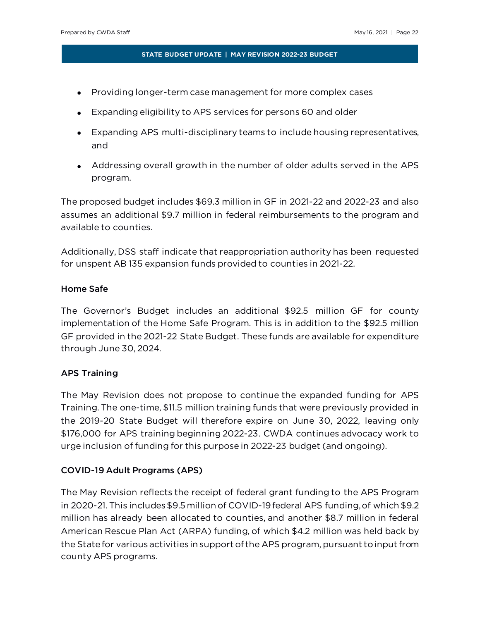- Providing longer-term case management for more complex cases
- Expanding eligibility to APS services for persons 60 and older
- Expanding APS multi-disciplinary teams to include housing representatives, and
- Addressing overall growth in the number of older adults served in the APS program.

The proposed budget includes \$69.3 million in GF in 2021-22 and 2022-23 and also assumes an additional \$9.7 million in federal reimbursements to the program and available to counties.

Additionally, DSS staff indicate that reappropriation authority has been requested for unspent AB 135 expansion funds provided to counties in 2021-22.

# Home Safe

The Governor's Budget includes an additional \$92.5 million GF for county implementation of the Home Safe Program. This is in addition to the \$92.5 million GF provided in the 2021-22 State Budget. These funds are available for expenditure through June 30, 2024.

# APS Training

The May Revision does not propose to continue the expanded funding for APS Training. The one-time, \$11.5 million training funds that were previously provided in the 2019-20 State Budget will therefore expire on June 30, 2022, leaving only \$176,000 for APS training beginning 2022-23. CWDA continues advocacy work to urge inclusion of funding for this purpose in 2022-23 budget (and ongoing).

# COVID-19 Adult Programs (APS)

The May Revision reflects the receipt of federal grant funding to the APS Program in 2020-21. This includes \$9.5 million of COVID-19 federal APS funding, of which \$9.2 million has already been allocated to counties, and another \$8.7 million in federal American Rescue Plan Act (ARPA) funding, of which \$4.2 million was held back by the State for various activities in support of the APS program, pursuant to input from county APS programs.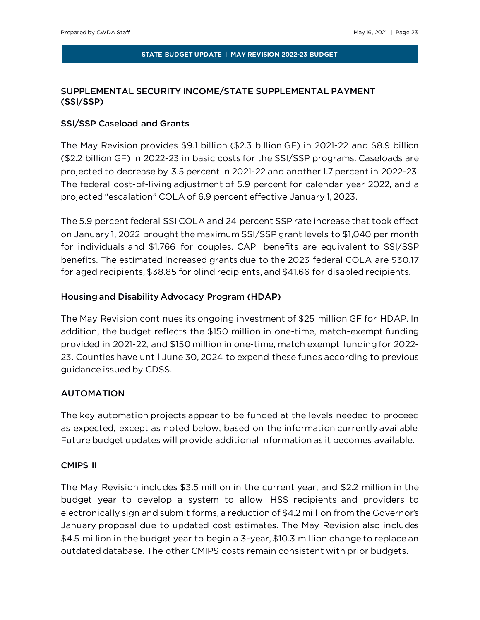# SUPPLEMENTAL SECURITY INCOME/STATE SUPPLEMENTAL PAYMENT (SSI/SSP)

## SSI/SSP Caseload and Grants

The May Revision provides \$9.1 billion (\$2.3 billion GF) in 2021-22 and \$8.9 billion (\$2.2 billion GF) in 2022-23 in basic costs for the SSI/SSP programs. Caseloads are projected to decrease by 3.5 percent in 2021-22 and another 1.7 percent in 2022-23. The federal cost-of-living adjustment of 5.9 percent for calendar year 2022, and a projected "escalation" COLA of 6.9 percent effective January 1, 2023.

The 5.9 percent federal SSI COLA and 24 percent SSP rate increase that took effect on January 1, 2022 brought the maximum SSI/SSP grant levels to \$1,040 per month for individuals and \$1.766 for couples. CAPI benefits are equivalent to SSI/SSP benefits. The estimated increased grants due to the 2023 federal COLA are \$30.17 for aged recipients, \$38.85 for blind recipients, and \$41.66 for disabled recipients.

# Housing and Disability Advocacy Program (HDAP)

The May Revision continues its ongoing investment of \$25 million GF for HDAP. In addition, the budget reflects the \$150 million in one-time, match-exempt funding provided in 2021-22, and \$150 million in one-time, match exempt funding for 2022- 23. Counties have until June 30, 2024 to expend these funds according to previous guidance issued by CDSS.

# AUTOMATION

The key automation projects appear to be funded at the levels needed to proceed as expected, except as noted below, based on the information currently available. Future budget updates will provide additional information as it becomes available.

## CMIPS II

The May Revision includes \$3.5 million in the current year, and \$2.2 million in the budget year to develop a system to allow IHSS recipients and providers to electronically sign and submit forms, a reduction of \$4.2 million from the Governor's January proposal due to updated cost estimates. The May Revision also includes \$4.5 million in the budget year to begin a 3-year, \$10.3 million change to replace an outdated database. The other CMIPS costs remain consistent with prior budgets.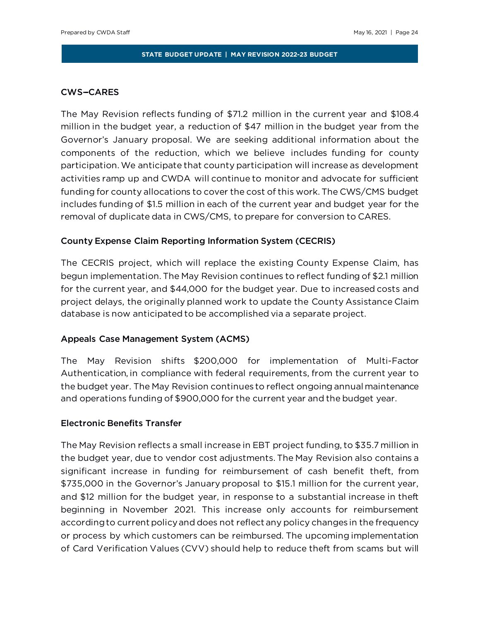## **CWS-CARES**

The May Revision reflects funding of \$71.2 million in the current year and \$108.4 million in the budget year, a reduction of \$47 million in the budget year from the Governor's January proposal. We are seeking additional information about the components of the reduction, which we believe includes funding for county participation. We anticipate that county participation will increase as development activities ramp up and CWDA will continue to monitor and advocate for sufficient funding for county allocations to cover the cost of this work. The CWS/CMS budget includes funding of \$1.5 million in each of the current year and budget year for the removal of duplicate data in CWS/CMS, to prepare for conversion to CARES.

## County Expense Claim Reporting Information System (CECRIS)

The CECRIS project, which will replace the existing County Expense Claim, has begun implementation. The May Revision continues to reflect funding of \$2.1 million for the current year, and \$44,000 for the budget year. Due to increased costs and project delays, the originally planned work to update the County Assistance Claim database is now anticipated to be accomplished via a separate project.

#### Appeals Case Management System (ACMS)

The May Revision shifts \$200,000 for implementation of Multi-Factor Authentication, in compliance with federal requirements, from the current year to the budget year. The May Revision continues to reflect ongoing annual maintenance and operations funding of \$900,000 for the current year and the budget year.

## Electronic Benefits Transfer

The May Revision reflects a small increase in EBT project funding, to \$35.7 million in the budget year, due to vendor cost adjustments. The May Revision also contains a significant increase in funding for reimbursement of cash benefit theft, from \$735,000 in the Governor's January proposal to \$15.1 million for the current year, and \$12 million for the budget year, in response to a substantial increase in theft beginning in November 2021. This increase only accounts for reimbursement according to current policy and does not reflect any policy changes in the frequency or process by which customers can be reimbursed. The upcoming implementation of Card Verification Values (CVV) should help to reduce theft from scams but will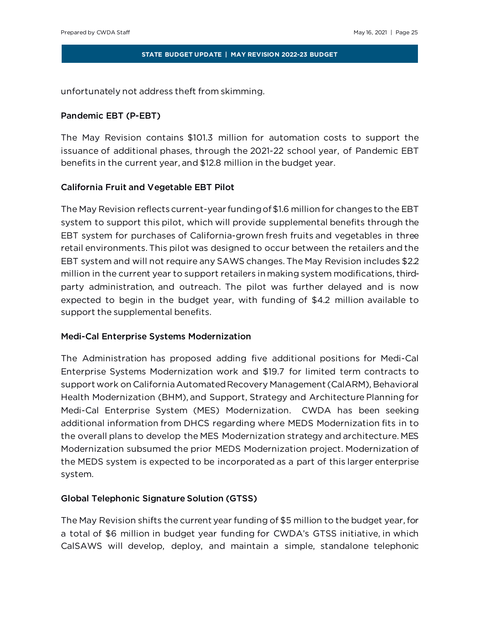unfortunately not address theft from skimming.

# Pandemic EBT (P-EBT)

The May Revision contains \$101.3 million for automation costs to support the issuance of additional phases, through the 2021-22 school year, of Pandemic EBT benefits in the current year, and \$12.8 million in the budget year.

# California Fruit and Vegetable EBT Pilot

The May Revision reflects current-year funding of \$1.6 million for changes to the EBT system to support this pilot, which will provide supplemental benefits through the EBT system for purchases of California-grown fresh fruits and vegetables in three retail environments. This pilot was designed to occur between the retailers and the EBT system and will not require any SAWS changes. The May Revision includes \$2.2 million in the current year to support retailers in making system modifications, thirdparty administration, and outreach. The pilot was further delayed and is now expected to begin in the budget year, with funding of \$4.2 million available to support the supplemental benefits.

# Medi-Cal Enterprise Systems Modernization

The Administration has proposed adding five additional positions for Medi-Cal Enterprise Systems Modernization work and \$19.7 for limited term contracts to support work on California Automated Recovery Management (CalARM), Behavioral Health Modernization (BHM), and Support, Strategy and Architecture Planning for Medi-Cal Enterprise System (MES) Modernization. CWDA has been seeking additional information from DHCS regarding where MEDS Modernization fits in to the overall plans to develop the MES Modernization strategy and architecture. MES Modernization subsumed the prior MEDS Modernization project. Modernization of the MEDS system is expected to be incorporated as a part of this larger enterprise system.

# Global Telephonic Signature Solution (GTSS)

The May Revision shifts the current year funding of \$5 million to the budget year, for a total of \$6 million in budget year funding for CWDA's GTSS initiative, in which CalSAWS will develop, deploy, and maintain a simple, standalone telephonic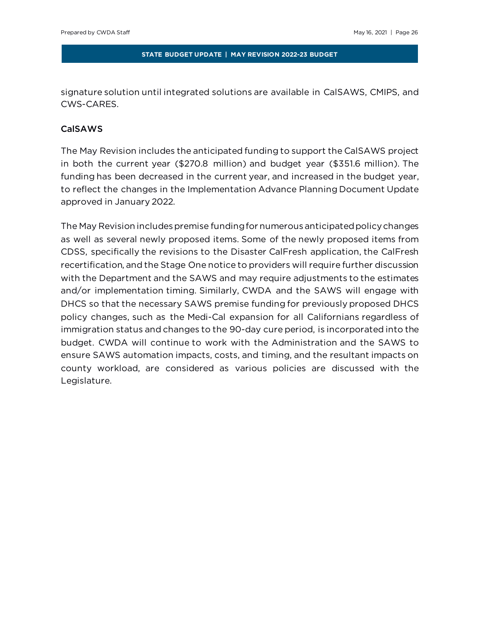signature solution until integrated solutions are available in CalSAWS, CMIPS, and CWS-CARES.

# CalSAWS

The May Revision includes the anticipated funding to support the CalSAWS project in both the current year (\$270.8 million) and budget year (\$351.6 million). The funding has been decreased in the current year, and increased in the budget year, to reflect the changes in the Implementation Advance Planning Document Update approved in January 2022.

The May Revision includes premise funding for numerous anticipated policy changes as well as several newly proposed items. Some of the newly proposed items from CDSS, specifically the revisions to the Disaster CalFresh application, the CalFresh recertification, and the Stage One notice to providers will require further discussion with the Department and the SAWS and may require adjustments to the estimates and/or implementation timing. Similarly, CWDA and the SAWS will engage with DHCS so that the necessary SAWS premise funding for previously proposed DHCS policy changes, such as the Medi-Cal expansion for all Californians regardless of immigration status and changes to the 90-day cure period, is incorporated into the budget. CWDA will continue to work with the Administration and the SAWS to ensure SAWS automation impacts, costs, and timing, and the resultant impacts on county workload, are considered as various policies are discussed with the Legislature.